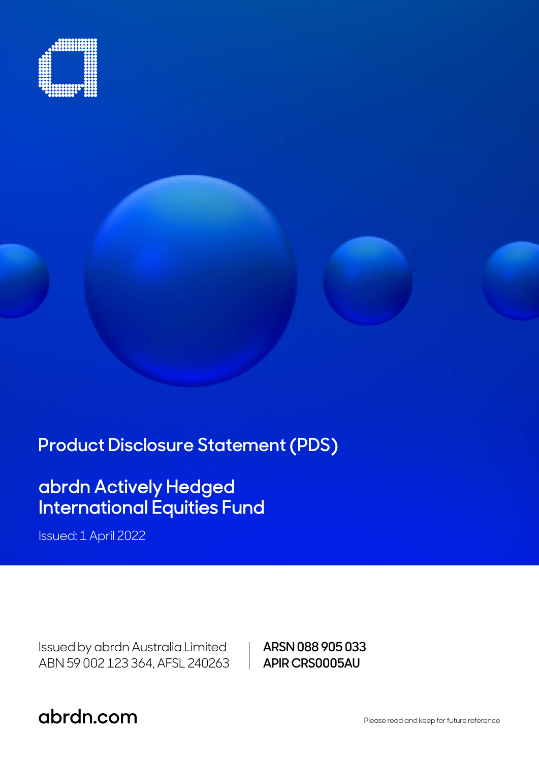

**Product Disclosure Statement (PDS)** 

# abrdn Actively Hedged International Equities Fund

Issued: 1 April 2022

Issued by abrdn Australia Limited ABN 59 002 123 364, AFSL 240263 **ARSN 088 905 033 APIR CRS0005AU**

**abrdn.com .com** Please read and keep for future reference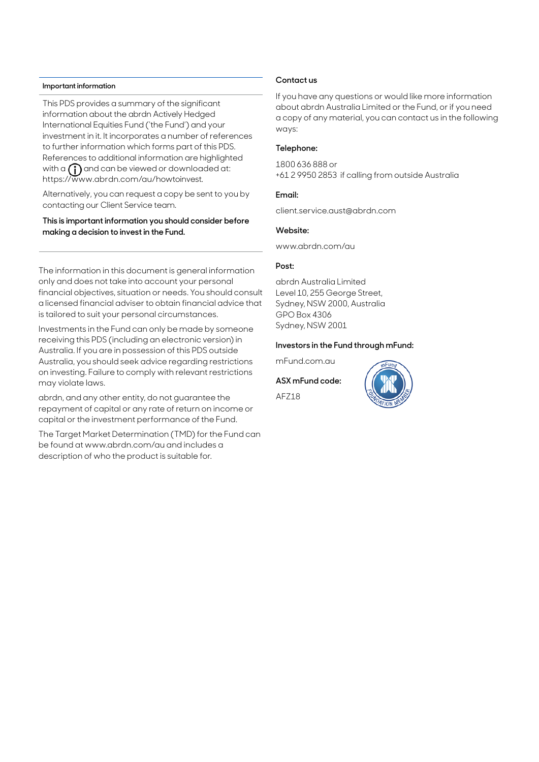#### **Important information**

This PDS provides a summary of the significant information about the abrdn Actively Hedged International Equities Fund ('the Fund') and your investment in it. It incorporates a number of references to further information which forms part of this PDS. References to additional information are highlighted with a  $\bigcap$  and can be viewed or downloaded at: https://www.abrdn.com/au/howtoinvest.

Alternatively, you can request a copy be sent to you by contacting our Client Service team.

### **This is important information you should consider before making a decision to invest in the Fund.**

The information in this document is general information only and does not take into account your personal financial objectives, situation or needs. You should consult a licensed financial adviser to obtain financial advice that is tailored to suit your personal circumstances.

Investments in the Fund can only be made by someone receiving this PDS (including an electronic version) in Australia. If you are in possession of this PDS outside Australia, you should seek advice regarding restrictions on investing. Failure to comply with relevant restrictions may violate laws.

abrdn, and any other entity, do not guarantee the repayment of capital or any rate of return on income or capital or the investment performance of the Fund.

The Target Market Determination (TMD) for the Fund can be found at www.abrdn.com/au and includes a description of who the product is suitable for.

### **Contact us**

If you have any questions or would like more information about abrdn Australia Limited or the Fund, or if you need a copy of any material, you can contact us in the following ways:

### **Telephone:**

1800 636 888 or +61 2 9950 2853 if calling from outside Australia

### **Email:**

client.service.aust@abrdn.com

#### **Website:**

www.abrdn.com/au

### **Post:**

abrdn Australia Limited Level 10, 255 George Street, Sydney, NSW 2000, Australia GPO Box 4306 Sydney, NSW 2001

#### **Investors in the Fund through mFund:**

mFund.com.au

### **ASX mFund code:**

AFZ18

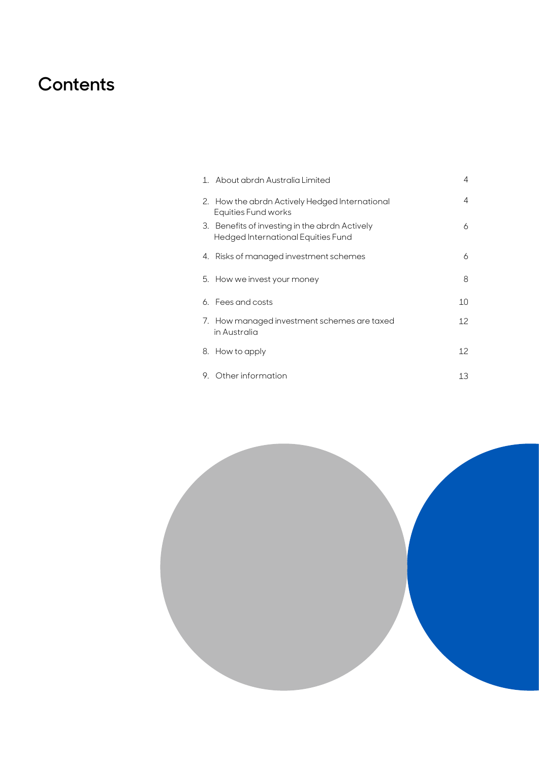# **Contents**

|    | 1. About abrdn Australia Limited                                                  | 4  |
|----|-----------------------------------------------------------------------------------|----|
|    | 2. How the abrdn Actively Hedged International<br>Equities Fund works             | 4  |
| 3. | Benefits of investing in the abrdn Actively<br>Hedged International Equities Fund | 6  |
|    | 4. Risks of managed investment schemes                                            | 6  |
|    | 5. How we invest your money                                                       | 8  |
|    | 6. Fees and costs                                                                 | 10 |
|    | 7. How managed investment schemes are taxed<br>in Australia                       | 12 |
|    | 8. How to apply                                                                   | 12 |
| 9. | Other information                                                                 | 13 |

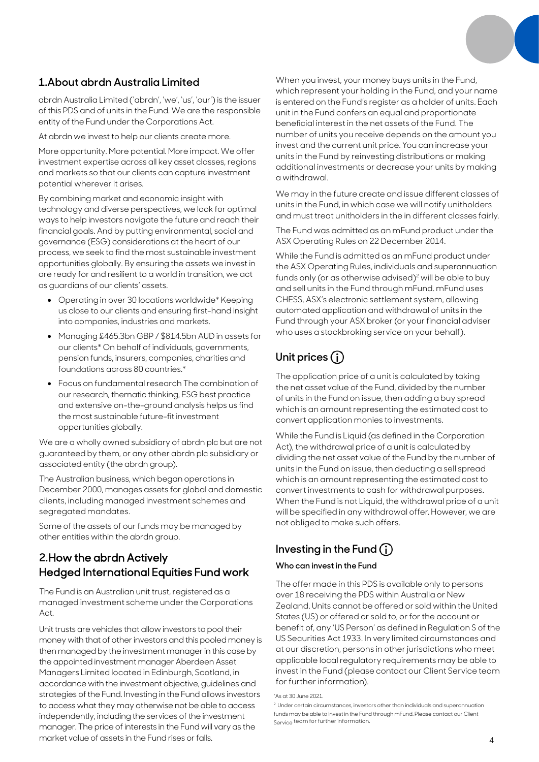## **1.About abrdn Australia Limited**

abrdn Australia Limited ('abrdn', 'we', 'us', 'our') is the issuer of this PDS and of units in the Fund. We are the responsible entity of the Fund under the Corporations Act.

At abrdn we invest to help our clients create more.

More opportunity. More potential. More impact. We offer investment expertise across all key asset classes, regions and markets so that our clients can capture investment potential wherever it arises.

By combining market and economic insight with technology and diverse perspectives, we look for optimal ways to help investors navigate the future and reach their financial goals. And by putting environmental, social and governance (ESG) considerations at the heart of our process, we seek to find the most sustainable investment opportunities globally. By ensuring the assets we invest in are ready for and resilient to a world in transition, we act as guardians of our clients' assets.

- Operating in over 30 locations worldwide\* Keeping us close to our clients and ensuring first-hand insight into companies, industries and markets.
- Managing £465.3bn GBP / \$814.5bn AUD in assets for our clients\* On behalf of individuals, governments, pension funds, insurers, companies, charities and foundations across 80 countries.\*
- Focus on fundamental research The combination of our research, thematic thinking, ESG best practice and extensive on-the-ground analysis helps us find the most sustainable future-fit investment opportunities globally.

We are a wholly owned subsidiary of abrdn plc but are not guaranteed by them, or any other abrdn plc subsidiary or associated entity (the abrdn group).

The Australian business, which began operations in December 2000, manages assets for global and domestic clients, including managed investment schemes and segregated mandates.

Some of the assets of our funds may be managed by other entities within the abrdn group.

# **2.**How the abrdn Actively Hedged International Equities Fund work

The Fund is an Australian unit trust, registered as a managed investment scheme under the Corporations Act.

Unit trusts are vehicles that allow investors to pool their money with that of other investors and this pooled money is then managed by the investment manager in this case by the appointed investment manager Aberdeen Asset Managers Limited located in Edinburgh, Scotland, in accordance with the investment objective, guidelines and strategies of the Fund. Investing in the Fund allows investors to access what they may otherwise not be able to access independently, including the services of the investment manager. The price of interests in the Fund will vary as the market value of assets in the Fund rises or falls.

When you invest, your money buys units in the Fund, which represent your holding in the Fund, and your name is entered on the Fund's register as a holder of units. Each unit in the Fund confers an equal and proportionate beneficial interest in the net assets of the Fund. The number of units you receive depends on the amount you invest and the current unit price. You can increase your units in the Fund by reinvesting distributions or making additional investments or decrease your units by making a withdrawal.

We may in the future create and issue different classes of units in the Fund, in which case we will notify unitholders and must treat unitholders in the in different classes fairly.

The Fund was admitted as an mFund product under the ASX Operating Rules on 22 December 2014.

While the Fund is admitted as an mFund product under the ASX Operating Rules, individuals and superannuation funds only (or as otherwise advised)<sup>2</sup> will be able to buy and sell units in the Fund through mFund. mFund uses CHESS, ASX's electronic settlement system, allowing automated application and withdrawal of units in the Fund through your ASX broker (or your financial adviser who uses a stockbroking service on your behalf).

# **Unit prices**

The application price of a unit is calculated by taking the net asset value of the Fund, divided by the number of units in the Fund on issue, then adding a buy spread which is an amount representing the estimated cost to convert application monies to investments.

While the Fund is Liquid (as defined in the Corporation Act), the withdrawal price of a unit is calculated by dividing the net asset value of the Fund by the number of units in the Fund on issue, then deducting a sell spread which is an amount representing the estimated cost to convert investments to cash for withdrawal purposes. When the Fund is not Liquid, the withdrawal price of a unit will be specified in any withdrawal offer. However, we are not obliged to make such offers.

# **Investing in the Fund**

### **Who can invest in the Fund**

The offer made in this PDS is available only to persons over 18 receiving the PDS within Australia or New Zealand. Units cannot be offered or sold within the United States (US) or offered or sold to, or for the account or benefit of, any 'US Person' as defined in Regulation S of the US Securities Act 1933. In very limited circumstances and at our discretion, persons in other jurisdictions who meet applicable local regulatory requirements may be able to invest in the Fund (please contact our Client Service team for further information).

<sup>\*</sup>As at 30 June 2021.

<sup>&</sup>lt;sup>2</sup> Under certain circumstances, investors other than individuals and superannuation funds may be able to invest in the Fund through mFund. Please contact our Client Service team for further information.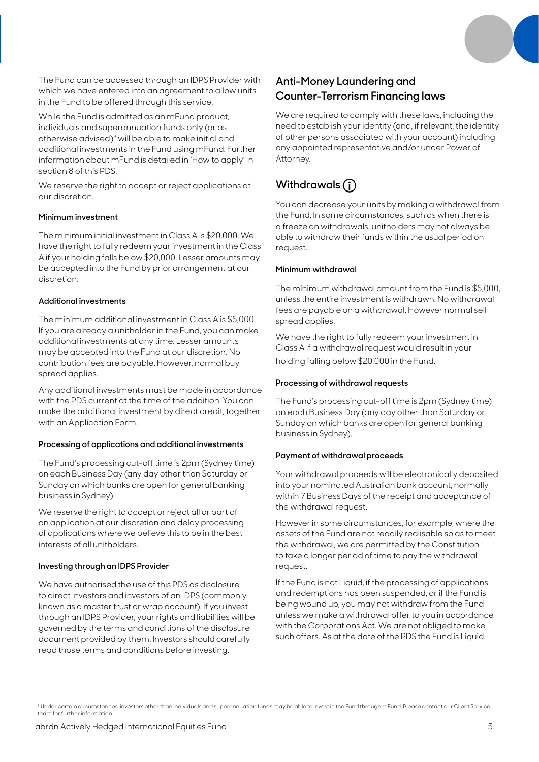The Fund can be accessed through an IDPS Provider with which we have entered into an agreement to allow units in the Fund to be offered through this service.

While the Fund is admitted as an mFund product, individuals and superannuation funds only (or as otherwise advised)3 will be able to make initial and additional investments in the Fund using mFund. Further information about mFund is detailed in 'How to apply' in section 8 of this PDS.

We reserve the right to accept or reject applications at our discretion.

### **Minimum investment**

The minimum initial investment in Class A is \$20,000. We have the right to fully redeem your investment in the Class A if your holding falls below \$20,000. Lesser amounts may be accepted into the Fund by prior arrangement at our discretion.

### **Additional investments**

The minimum additional investment in Class A is \$5,000. If you are already a unitholder in the Fund, you can make additional investments at any time. Lesser amounts may be accepted into the Fund at our discretion. No contribution fees are payable. However, normal buy spread applies.

Any additional investments must be made in accordance with the PDS current at the time of the addition. You can make the additional investment by direct credit, together with an Application Form.

### **Processing of applications and additional investments**

The Fund's processing cut-off time is 2pm (Sydney time) on each Business Day (any day other than Saturday or Sunday on which banks are open for general banking business in Sydney).

We reserve the right to accept or reject all or part of an application at our discretion and delay processing of applications where we believe this to be in the best interests of all unitholders.

### **Investing through an IDPS Provider**

We have authorised the use of this PDS as disclosure to direct investors and investors of an IDPS (commonly known as a master trust or wrap account). If you invest through an IDPS Provider, your rights and liabilities will be governed by the terms and conditions of the disclosure document provided by them. Investors should carefully read those terms and conditions before investing.

# **Anti-Money Laundering and Counter-Terrorism Financing laws**

We are required to comply with these laws, including the need to establish your identity (and, if relevant, the identity of other persons associated with your account) including any appointed representative and/or under Power of Attorney.

# **Withdrawals**

You can decrease your units by making a withdrawal from the Fund. In some circumstances, such as when there is a freeze on withdrawals, unitholders may not always be able to withdraw their funds within the usual period on request.

### **Minimum withdrawal**

The minimum withdrawal amount from the Fund is \$5,000, unless the entire investment is withdrawn. No withdrawal fees are payable on a withdrawal. However normal sell spread applies.

We have the right to fully redeem your investment in Class A if a withdrawal request would result in your holding falling below \$20,000 in the Fund.

### **Processing of withdrawal requests**

The Fund's processing cut-off time is 2pm (Sydney time) on each Business Day (any day other than Saturday or Sunday on which banks are open for general banking business in Sydney).

### **Payment of withdrawal proceeds**

Your withdrawal proceeds will be electronically deposited into your nominated Australian bank account, normally within 7 Business Days of the receipt and acceptance of the withdrawal request.

However in some circumstances, for example, where the assets of the Fund are not readily realisable so as to meet the withdrawal, we are permitted by the Constitution to take a longer period of time to pay the withdrawal request.

If the Fund is not Liquid, if the processing of applications and redemptions has been suspended, or if the Fund is being wound up, you may not withdraw from the Fund unless we make a withdrawal offer to you in accordance with the Corporations Act. We are not obliged to make such offers. As at the date of the PDS the Fund is Liquid.

<sup>&</sup>lt;sup>3</sup> Under certain circumstances, investors other than individuals and superannuation funds may be able to invest in the Fund through mFund. Please contact our Client Service team for further information.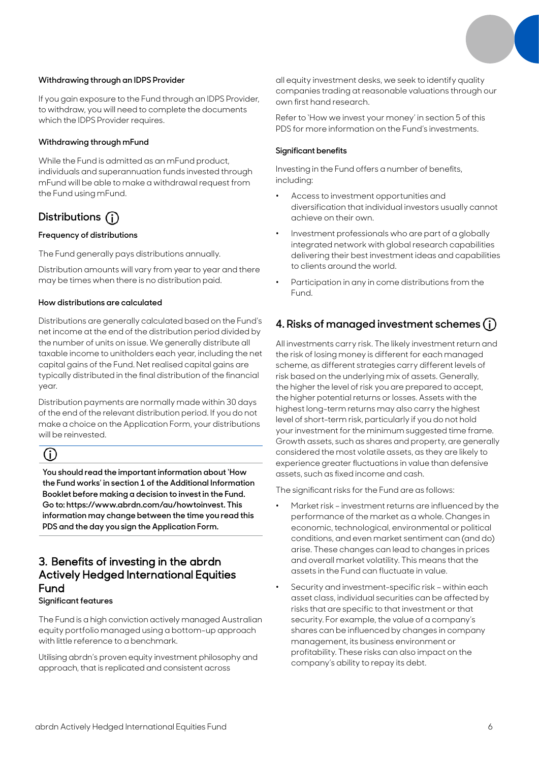### **Withdrawing through an IDPS Provider**

If you gain exposure to the Fund through an IDPS Provider, to withdraw, you will need to complete the documents which the IDPS Provider requires.

### **Withdrawing through mFund**

While the Fund is admitted as an mFund product, individuals and superannuation funds invested through mFund will be able to make a withdrawal request from the Fund using mFund.

# **Distributions**

### **Frequency of distributions**

The Fund generally pays distributions annually.

Distribution amounts will vary from year to year and there may be times when there is no distribution paid.

### **How distributions are calculated**

Distributions are generally calculated based on the Fund's net income at the end of the distribution period divided by the number of units on issue. We generally distribute all taxable income to unitholders each year, including the net capital gains of the Fund. Net realised capital gains are typically distributed in the final distribution of the financial year.

Distribution payments are normally made within 30 days of the end of the relevant distribution period. If you do not make a choice on the Application Form, your distributions will be reinvested.

# G)

**You should read the important information about 'How the Fund works' in section 1 of the Additional Information Booklet before making a decision to invest in the Fund. Go to: https://www.abrdn.com/au/howtoinvest. This information may change between the time you read this PDS and the day you sign the Application Form.**

### 3. Benefits of investing in the abrdn Actively Hedged International Equities Fund

**Significant features**

The Fund is a high conviction actively managed Australian equity portfolio managed using a bottom-up approach with little reference to a benchmark.

Utilising abrdn's proven equity investment philosophy and approach, that is replicated and consistent across

all equity investment desks, we seek to identify quality companies trading at reasonable valuations through our own first hand research.

Refer to 'How we invest your money' in section 5 of this PDS for more information on the Fund's investments.

### **Significant benefits**

Investing in the Fund offers a number of benefits, including:

- Access to investment opportunities and diversification that individual investors usually cannot achieve on their own.
- Investment professionals who are part of a globally integrated network with global research capabilities delivering their best investment ideas and capabilities to clients around the world.
- Participation in any in come distributions from the Fund.

# **4. Risks of managed investment schemes**

All investments carry risk. The likely investment return and the risk of losing money is different for each managed scheme, as different strategies carry different levels of risk based on the underlying mix of assets. Generally, the higher the level of risk you are prepared to accept, the higher potential returns or losses. Assets with the highest long-term returns may also carry the highest level of short-term risk, particularly if you do not hold your investment for the minimum suggested time frame. Growth assets, such as shares and property, are generally considered the most volatile assets, as they are likely to experience greater fluctuations in value than defensive assets, such as fixed income and cash.

The significant risks for the Fund are as follows:

- Market risk investment returns are influenced by the performance of the market as a whole. Changes in economic, technological, environmental or political conditions, and even market sentiment can (and do) arise. These changes can lead to changes in prices and overall market volatility. This means that the assets in the Fund can fluctuate in value.
- Security and investment-specific risk within each asset class, individual securities can be affected by risks that are specific to that investment or that security. For example, the value of a company's shares can be influenced by changes in company management, its business environment or profitability. These risks can also impact on the company's ability to repay its debt.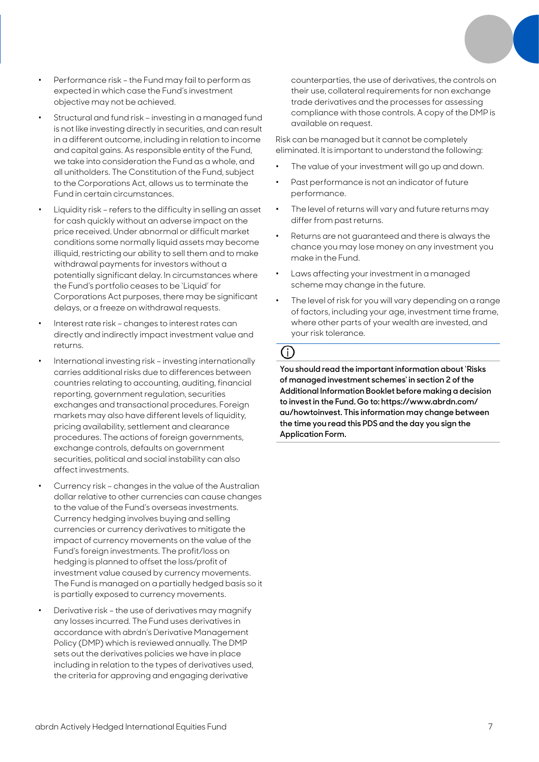- Performance risk the Fund may fail to perform as expected in which case the Fund's investment objective may not be achieved.
- Structural and fund risk investing in a managed fund is not like investing directly in securities, and can result in a different outcome, including in relation to income and capital gains. As responsible entity of the Fund, we take into consideration the Fund as a whole, and all unitholders. The Constitution of the Fund, subject to the Corporations Act, allows us to terminate the Fund in certain circumstances.
- Liquidity risk refers to the difficulty in selling an asset for cash quickly without an adverse impact on the price received. Under abnormal or difficult market conditions some normally liquid assets may become illiquid, restricting our ability to sell them and to make withdrawal payments for investors without a potentially significant delay. In circumstances where the Fund's portfolio ceases to be 'Liquid' for Corporations Act purposes, there may be significant delays, or a freeze on withdrawal requests.
- Interest rate risk changes to interest rates can directly and indirectly impact investment value and returns.
- International investing risk investing internationally carries additional risks due to differences between countries relating to accounting, auditing, financial reporting, government regulation, securities exchanges and transactional procedures. Foreign markets may also have different levels of liquidity, pricing availability, settlement and clearance procedures. The actions of foreign governments, exchange controls, defaults on government securities, political and social instability can also affect investments.
- Currency risk changes in the value of the Australian dollar relative to other currencies can cause changes to the value of the Fund's overseas investments. Currency hedging involves buying and selling currencies or currency derivatives to mitigate the impact of currency movements on the value of the Fund's foreign investments. The profit/loss on hedging is planned to offset the loss/profit of investment value caused by currency movements. The Fund is managed on a partially hedged basis so it is partially exposed to currency movements.
- Derivative risk the use of derivatives may magnify any losses incurred. The Fund uses derivatives in accordance with abrdn's Derivative Management Policy (DMP) which is reviewed annually. The DMP sets out the derivatives policies we have in place including in relation to the types of derivatives used, the criteria for approving and engaging derivative

counterparties, the use of derivatives, the controls on their use, collateral requirements for non exchange trade derivatives and the processes for assessing compliance with those controls. A copy of the DMP is available on request.

Risk can be managed but it cannot be completely eliminated. It is important to understand the following:

- The value of your investment will go up and down.
- Past performance is not an indicator of future performance.
- The level of returns will vary and future returns may differ from past returns.
- Returns are not guaranteed and there is always the chance you may lose money on any investment you make in the Fund.
- Laws affecting your investment in a managed scheme may change in the future.
- The level of risk for you will vary depending on a range of factors, including your age, investment time frame, where other parts of your wealth are invested, and your risk tolerance.

# 

**You should read the important information about 'Risks of managed investment schemes' in section 2 of the Additional Information Booklet before making a decision to invest in the Fund. Go to: https://www.abrdn.com/ au/howtoinvest. This information may change between the time you read this PDS and the day you sign the Application Form.**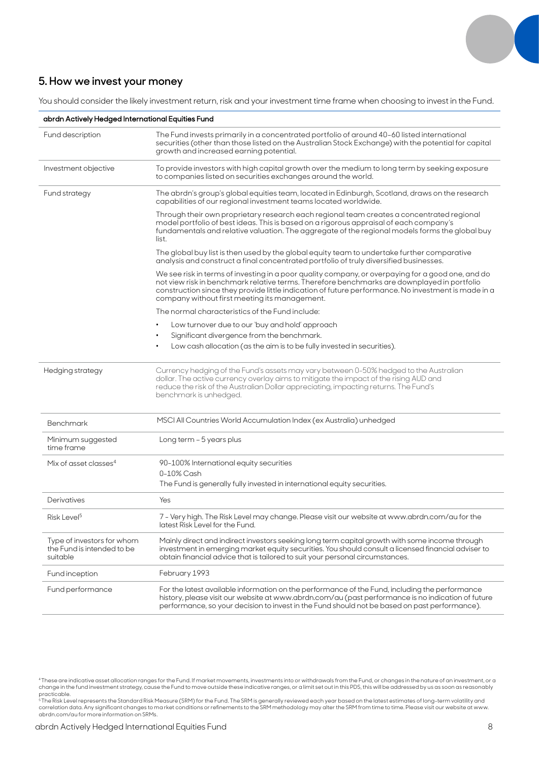

### **5. How we invest your money**

You should consider the likely investment return, risk and your investment time frame when choosing to invest in the Fund.

| abrdn Actively Hedged International Equities Fund                    |                                                                                                                                                                                                                                                                                                                                                          |  |  |  |  |
|----------------------------------------------------------------------|----------------------------------------------------------------------------------------------------------------------------------------------------------------------------------------------------------------------------------------------------------------------------------------------------------------------------------------------------------|--|--|--|--|
| Fund description                                                     | The Fund invests primarily in a concentrated portfolio of around 40-60 listed international<br>securities (other than those listed on the Australian Stock Exchange) with the potential for capital<br>growth and increased earning potential.                                                                                                           |  |  |  |  |
| Investment objective                                                 | To provide investors with high capital growth over the medium to long term by seeking exposure<br>to companies listed on securities exchanges around the world.                                                                                                                                                                                          |  |  |  |  |
| Fund strategy                                                        | The abrdn's group's global equities team, located in Edinburgh, Scotland, draws on the research<br>capabilities of our regional investment teams located worldwide.                                                                                                                                                                                      |  |  |  |  |
|                                                                      | Through their own proprietary research each regional team creates a concentrated regional<br>model portfolio of best ideas. This is based on a rigorous appraisal of each company's<br>fundamentals and relative valuation. The aggregate of the regional models forms the global buy<br>list.                                                           |  |  |  |  |
|                                                                      | The global buy list is then used by the global equity team to undertake further comparative<br>analysis and construct a final concentrated portfolio of truly diversified businesses.                                                                                                                                                                    |  |  |  |  |
|                                                                      | We see risk in terms of investing in a poor quality company, or overpaying for a good one, and do<br>not view risk in benchmark relative terms. Therefore benchmarks are downplayed in portfolio<br>construction since they provide little indication of future performance. No investment is made in a<br>company without first meeting its management. |  |  |  |  |
|                                                                      | The normal characteristics of the Fund include:                                                                                                                                                                                                                                                                                                          |  |  |  |  |
|                                                                      | Low turnover due to our 'buy and hold' approach                                                                                                                                                                                                                                                                                                          |  |  |  |  |
|                                                                      | Significant divergence from the benchmark.                                                                                                                                                                                                                                                                                                               |  |  |  |  |
|                                                                      | Low cash allocation (as the aim is to be fully invested in securities).                                                                                                                                                                                                                                                                                  |  |  |  |  |
| Hedging strategy                                                     | Currency hedging of the Fund's assets may vary between 0-50% hedged to the Australian<br>dollar. The active currency overlay aims to mitigate the impact of the rising AUD and<br>reduce the risk of the Australian Dollar appreciating, impacting returns. The Fund's<br>benchmark is unhedged.                                                         |  |  |  |  |
| Benchmark                                                            | MSCI All Countries World Accumulation Index (ex Australia) unhedged                                                                                                                                                                                                                                                                                      |  |  |  |  |
| Minimum suggested<br>time frame                                      | Long term - 5 years plus                                                                                                                                                                                                                                                                                                                                 |  |  |  |  |
| Mix of asset classes <sup>4</sup>                                    | 90-100% International equity securities                                                                                                                                                                                                                                                                                                                  |  |  |  |  |
|                                                                      | 0-10% Cash                                                                                                                                                                                                                                                                                                                                               |  |  |  |  |
|                                                                      | The Fund is generally fully invested in international equity securities.                                                                                                                                                                                                                                                                                 |  |  |  |  |
| Derivatives                                                          | Yes                                                                                                                                                                                                                                                                                                                                                      |  |  |  |  |
| Risk Level <sup>5</sup>                                              | 7 - Very high. The Risk Level may change. Please visit our website at www.abrdn.com/au for the<br>latest Risk Level for the Fund.                                                                                                                                                                                                                        |  |  |  |  |
| Type of investors for whom<br>the Fund is intended to be<br>suitable | Mainly direct and indirect investors seeking long term capital growth with some income through<br>investment in emerging market equity securities. You should consult a licensed financial adviser to<br>obtain financial advice that is tailored to suit your personal circumstances.                                                                   |  |  |  |  |
| Fund inception                                                       | February 1993                                                                                                                                                                                                                                                                                                                                            |  |  |  |  |
| Fund performance                                                     | For the latest available information on the performance of the Fund, including the performance<br>history, please visit our website at www.abrdn.com/au (past performance is no indication of future<br>performance, so your decision to invest in the Fund should not be based on past performance).                                                    |  |  |  |  |

<sup>4</sup> These are indicative asset allocation ranges for the Fund. If market movements, investments into or withdrawals from the Fund, or changes in the nature of an investment, or a

change in the fund investment strategy, cause the Fund to move outside these indicative ranges, or a limit set out in this PDS, this will be addressed by us as soon as reasonably<br>practicable.<br>\* The Risk Level represents th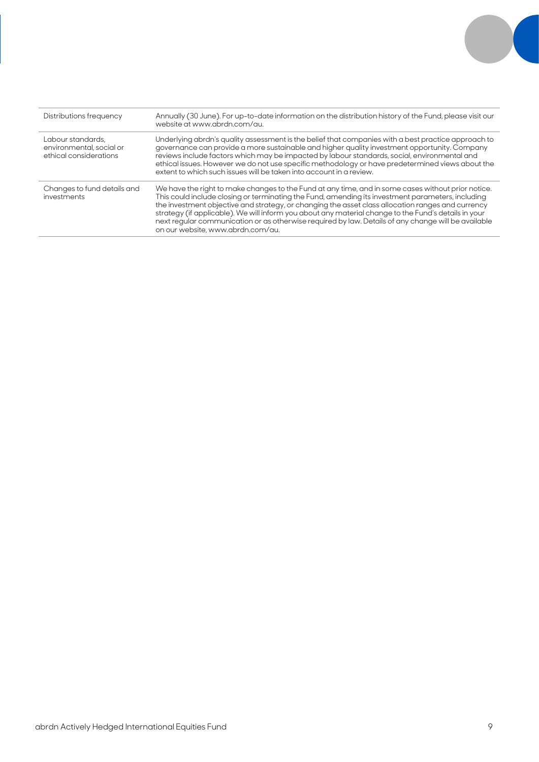| Distributions frequency                                                 | Annually (30 June). For up-to-date information on the distribution history of the Fund, please visit our<br>website at www.abrdn.com/au.                                                                                                                                                                                                                                                                                                                                                                                                                         |
|-------------------------------------------------------------------------|------------------------------------------------------------------------------------------------------------------------------------------------------------------------------------------------------------------------------------------------------------------------------------------------------------------------------------------------------------------------------------------------------------------------------------------------------------------------------------------------------------------------------------------------------------------|
| Labour standards.<br>environmental, social or<br>ethical considerations | Underlying abrdn's quality assessment is the belief that companies with a best practice approach to<br>governance can provide a more sustainable and higher quality investment opportunity. Company<br>reviews include factors which may be impacted by labour standards, social, environmental and<br>ethical issues. However we do not use specific methodology or have predetermined views about the<br>extent to which such issues will be taken into account in a review.                                                                                   |
| Changes to fund details and<br>investments                              | We have the right to make changes to the Fund at any time, and in some cases without prior notice.<br>This could include closing or terminating the Fund, amending its investment parameters, including<br>the investment objective and strategy, or changing the asset class allocation ranges and currency<br>strategy (if applicable). We will inform you about any material change to the Fund's details in your<br>next regular communication or as otherwise required by law. Details of any change will be available<br>on our website, www.abrdn.com/au. |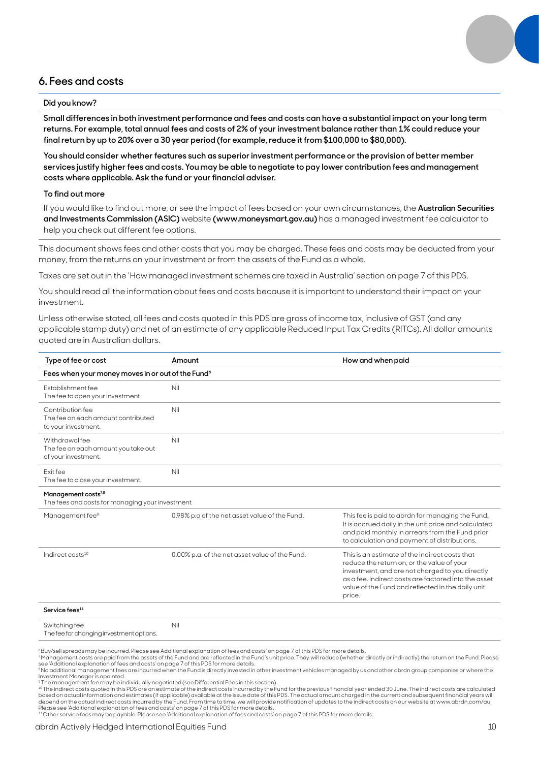### **6. Fees and costs**

### **Did you know?**

**Small differences in both investment performance and fees and costs can have a substantial impact on your long term returns. For example, total annual fees and costs of 2% of your investment balance rather than 1% could reduce your final return by up to 20% over a 30 year period (for example, reduce it from \$100,000 to \$80,000).**

**You should consider whether features such as superior investment performance or the provision of better member services justify higher fees and costs. You may be able to negotiate to pay lower contribution fees and management costs where applicable. Ask the fund or your financial adviser.**

### **To find out more**

If you would like to find out more, or see the impact of fees based on your own circumstances, the **Australian Securities and Investments Commission (ASIC)** website **(www.moneysmart.gov.au)** has a managed investment fee calculator to help you check out different fee options.

This document shows fees and other costs that you may be charged. These fees and costs may be deducted from your money, from the returns on your investment or from the assets of the Fund as a whole.

Taxes are set out in the 'How managed investment schemes are taxed in Australia' section on page 7 of this PDS.

You should read all the information about fees and costs because it is important to understand their impact on your investment.

Unless otherwise stated, all fees and costs quoted in this PDS are gross of income tax, inclusive of GST (and any applicable stamp duty) and net of an estimate of any applicable Reduced Input Tax Credits (RITCs). All dollar amounts quoted are in Australian dollars.

| Type of fee or cost                                                                | Amount                                         | How and when paid                                                                                                                                                                                                                                                      |  |  |  |
|------------------------------------------------------------------------------------|------------------------------------------------|------------------------------------------------------------------------------------------------------------------------------------------------------------------------------------------------------------------------------------------------------------------------|--|--|--|
| Fees when your money moves in or out of the Fund <sup>6</sup>                      |                                                |                                                                                                                                                                                                                                                                        |  |  |  |
| Establishment fee<br>The fee to open your investment.                              | Nil                                            |                                                                                                                                                                                                                                                                        |  |  |  |
| Contribution fee<br>The fee on each amount contributed<br>to your investment.      | Nil                                            |                                                                                                                                                                                                                                                                        |  |  |  |
| Withdrawal fee<br>The fee on each amount you take out<br>of your investment.       | Nil                                            |                                                                                                                                                                                                                                                                        |  |  |  |
| Fxit fee<br>The fee to close your investment.                                      | Nil                                            |                                                                                                                                                                                                                                                                        |  |  |  |
| Management costs <sup>7,8</sup><br>The fees and costs for managing your investment |                                                |                                                                                                                                                                                                                                                                        |  |  |  |
| Management fee <sup>9</sup>                                                        | 0.98% p.a of the net asset value of the Fund.  | This fee is paid to abrdn for managing the Fund.<br>It is accrued daily in the unit price and calculated<br>and paid monthly in arrears from the Fund prior<br>to calculation and payment of distributions.                                                            |  |  |  |
| Indirect costs <sup>10</sup>                                                       | 0.00% p.a. of the net asset value of the Fund. | This is an estimate of the indirect costs that<br>reduce the return on, or the value of your<br>investment, and are not charged to you directly<br>as a fee. Indirect costs are factored into the asset<br>value of the Fund and reflected in the daily unit<br>price. |  |  |  |
| Service fees <sup>11</sup>                                                         |                                                |                                                                                                                                                                                                                                                                        |  |  |  |
| Switching fee                                                                      | Nil                                            |                                                                                                                                                                                                                                                                        |  |  |  |

The fee for changing investment options.

°Buy/sell spreads may be incurred. Please see Additional explanation of fees and costs' on page 7 of this PDS for more details.<br>? Management costs are paid from the assets of the Fund and are reflected in the Fund's unit p

8 No additional management fees are incurred when the Fund is directly invested in other investment vehicles managed by us and other abrdn group companies or where the Investment Manager is apointed.

9 The management fee may be individually negotiated (see Differential Fees in this section).

10 The indirect costs quoted in this PDS are an estimate of the indirect costs incurred by the Fund for the previous financial year ended 30 June. The indirect costs are calculated based on actual information and estimates (if applicable) available at the issue date of this PDS. The actual amount charged in the current and subsequent financial years will<br>depend on the actual indirect costs incurred b

Please see `Additional explanation of fees and costs' on page 7 of this PDS for more details.<br><sup>11</sup> Other service fees may be payable. Please see `Additional explanation of fees and costs' on page 7 of this PDS for more det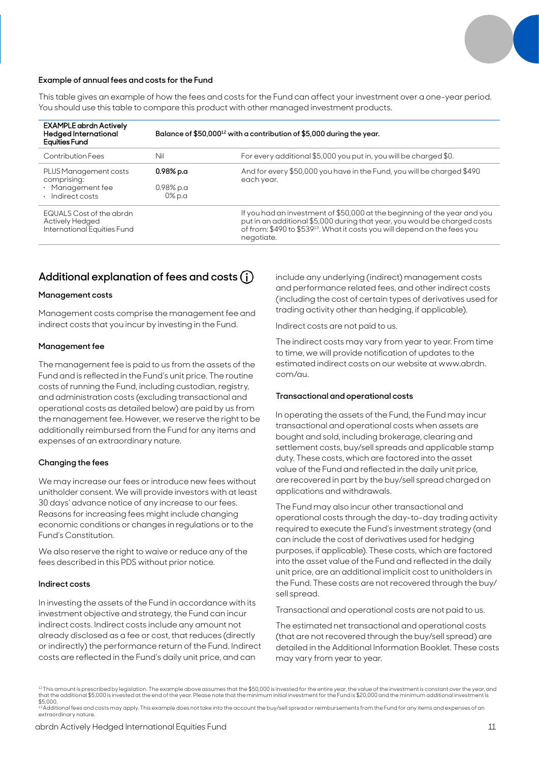

### **Example of annual fees and costs for the Fund**

This table gives an example of how the fees and costs for the Fund can affect your investment over a one-year period. You should use this table to compare this product with other managed investment products.

| <b>EXAMPLE abrdn Actively</b><br><b>Hedged International</b><br><b>Equities Fund</b> | Balance of \$50,000 <sup>12</sup> with a contribution of \$5,000 during the year. |                                                                                                                                                                                                                                                               |  |
|--------------------------------------------------------------------------------------|-----------------------------------------------------------------------------------|---------------------------------------------------------------------------------------------------------------------------------------------------------------------------------------------------------------------------------------------------------------|--|
| Contribution Fees                                                                    | Nil                                                                               | For every additional \$5,000 you put in, you will be charged \$0.                                                                                                                                                                                             |  |
| PLUS Management costs<br>comprising:<br>· Management fee<br>· Indirect costs         | $0.98\%$ p.a<br>$0.98\%$ p.a.<br>$0\%$ p.a                                        | And for every \$50,000 you have in the Fund, you will be charged \$490<br>each year.                                                                                                                                                                          |  |
| EQUALS Cost of the abrdn<br>Actively Hedged<br>International Equities Fund           |                                                                                   | If you had an investment of \$50,000 at the beginning of the year and you<br>put in an additional \$5,000 during that year, you would be charged costs<br>of from: \$490 to \$539 <sup>13</sup> . What it costs you will depend on the fees you<br>negotiate. |  |

### **Additional explanation of fees and costs**

### **Management costs**

Management costs comprise the management fee and indirect costs that you incur by investing in the Fund.

### **Management fee**

The management fee is paid to us from the assets of the Fund and is reflected in the Fund's unit price. The routine costs of running the Fund, including custodian, registry, and administration costs (excluding transactional and operational costs as detailed below) are paid by us from the management fee. However, we reserve the right to be additionally reimbursed from the Fund for any items and expenses of an extraordinary nature.

### **Changing the fees**

We may increase our fees or introduce new fees without unitholder consent. We will provide investors with at least 30 days' advance notice of any increase to our fees. Reasons for increasing fees might include changing economic conditions or changes in regulations or to the Fund's Constitution.

We also reserve the right to waive or reduce any of the fees described in this PDS without prior notice.

#### **Indirect costs**

In investing the assets of the Fund in accordance with its investment objective and strategy, the Fund can incur indirect costs. Indirect costs include any amount not already disclosed as a fee or cost, that reduces (directly or indirectly) the performance return of the Fund. Indirect costs are reflected in the Fund's daily unit price, and can

include any underlying (indirect) management costs and performance related fees, and other indirect costs (including the cost of certain types of derivatives used for trading activity other than hedging, if applicable).

Indirect costs are not paid to us.

The indirect costs may vary from year to year. From time to time, we will provide notification of updates to the estimated indirect costs on our website at www.abrdn. com/au.

#### **Transactional and operational costs**

In operating the assets of the Fund, the Fund may incur transactional and operational costs when assets are bought and sold, including brokerage, clearing and settlement costs, buy/sell spreads and applicable stamp duty. These costs, which are factored into the asset value of the Fund and reflected in the daily unit price, are recovered in part by the buy/sell spread charged on applications and withdrawals.

The Fund may also incur other transactional and operational costs through the day-to-day trading activity required to execute the Fund's investment strategy (and can include the cost of derivatives used for hedging purposes, if applicable). These costs, which are factored into the asset value of the Fund and reflected in the daily unit price, are an additional implicit cost to unitholders in the Fund. These costs are not recovered through the buy/ sell spread.

Transactional and operational costs are not paid to us.

The estimated net transactional and operational costs (that are not recovered through the buy/sell spread) are detailed in the Additional Information Booklet. These costs may vary from year to year.

<sup>12</sup> This amount is prescribed by legislation. The example above assumes that the \$50,000 is invested for the entire year, the value of the investment is constant over the year, and that the additional \$5,000 is invested at the end of the year. Please note that the minimum initial investment for the Fund is \$20,000 and the minimum additional investment is<br>\$5,000.  $\frac{1}{13}$ Additional fees and costs may apply. This example does not take into the account the buy/sell spread or reimbursements from the Fund for any items and expenses of an

extraordinary nature.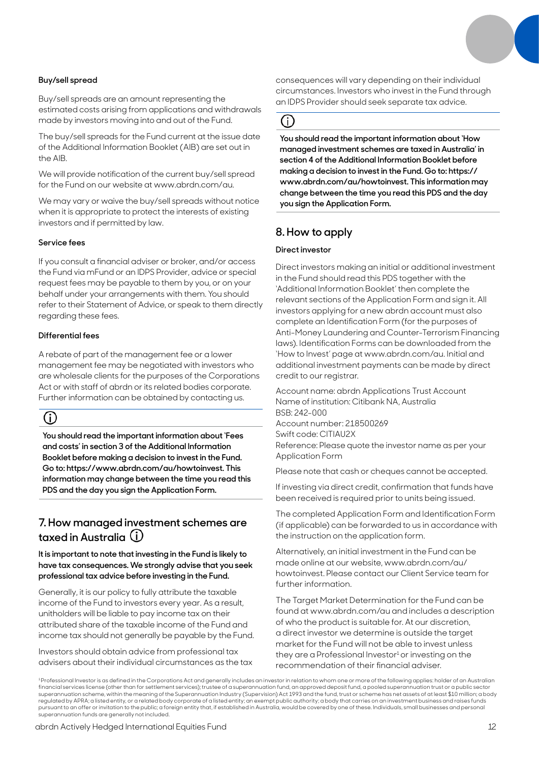superannuation funds are generally not included.

### **Buy/sell spread**

Buy/sell spreads are an amount representing the estimated costs arising from applications and withdrawals made by investors moving into and out of the Fund.

The buy/sell spreads for the Fund current at the issue date of the Additional Information Booklet (AIB) are set out in the AIB.

We will provide notification of the current buy/sell spread for the Fund on our website at www.abrdn.com/au.

We may vary or waive the buy/sell spreads without notice when it is appropriate to protect the interests of existing investors and if permitted by law.

### **Service fees**

If you consult a financial adviser or broker, and/or access the Fund via mFund or an IDPS Provider, advice or special request fees may be payable to them by you, or on your behalf under your arrangements with them. You should refer to their Statement of Advice, or speak to them directly regarding these fees.

### **Differential fees**

A rebate of part of the management fee or a lower management fee may be negotiated with investors who are wholesale clients for the purposes of the Corporations Act or with staff of abrdn or its related bodies corporate. Further information can be obtained by contacting us.

# (i)

**You should read the important information about 'Fees and costs' in section 3 of the Additional Information Booklet before making a decision to invest in the Fund. Go to: https://www.abrdn.com/au/howtoinvest. This information may change between the time you read this PDS and the day you sign the Application Form.**

## **7. How managed investment schemes are taxed in Australia**

**It is important to note that investing in the Fund is likely to have tax consequences. We strongly advise that you seek professional tax advice before investing in the Fund.**

Generally, it is our policy to fully attribute the taxable income of the Fund to investors every year. As a result, unitholders will be liable to pay income tax on their attributed share of the taxable income of the Fund and income tax should not generally be payable by the Fund.

Investors should obtain advice from professional tax advisers about their individual circumstances as the tax consequences will vary depending on their individual circumstances. Investors who invest in the Fund through an IDPS Provider should seek separate tax advice.

## $(i)$

**You should read the important information about 'How managed investment schemes are taxed in Australia' in section 4 of the Additional Information Booklet before making a decision to invest in the Fund. Go to: https:// www.abrdn.com/au/howtoinvest. This information may change between the time you read this PDS and the day you sign the Application Form.**

## **8. How to apply**

### **Direct investor**

<sup>1</sup> Professional Investor is as defined in the Corporations Act and generally includes an investor in relation to whom one or more of the following applies: holder of an Australian financial services license (other than for settlement services); trustee of a superannuation fund, a nproved deposit fund, a pooled superannuation trust or a public sector<br>superannuation scheme, within the meaning of the S regulated by APRA; a listed entity, or a related body corporate of a listed entity; an exempt public authority; a body that carries on an investment business and raises funds pursuant to an offer or invitation to the public; a foreign entity that, if established in Australia, would be covered by one of these. Individuals, small businesses and personal

Direct investors making an initial or additional investment in the Fund should read this PDS together with the 'Additional Information Booklet' then complete the relevant sections of the Application Form and sign it. All investors applying for a new abrdn account must also complete an Identification Form (for the purposes of Anti-Money Laundering and Counter-Terrorism Financing laws). Identification Forms can be downloaded from the 'How to Invest' page at www.abrdn.com/au. Initial and additional investment payments can be made by direct credit to our registrar.

Account name: abrdn Applications Trust Account Name of institution: Citibank NA, Australia BSB: 242-000 Account number: 218500269 Swift code: CITIAU2X Reference: Please quote the investor name as per your Application Form

Please note that cash or cheques cannot be accepted.

If investing via direct credit, confirmation that funds have been received is required prior to units being issued.

The completed Application Form and Identification Form (if applicable) can be forwarded to us in accordance with the instruction on the application form.

Alternatively, an initial investment in the Fund can be made online at our website, www.abrdn.com/au/ howtoinvest. Please contact our Client Service team for further information.

The Target Market Determination for the Fund can be found at www.abrdn.com/au and includes a description of who the product is suitable for. At our discretion, a direct investor we determine is outside the target market for the Fund will not be able to invest unless they are a Professional Investor $1$  or investing on the recommendation of their financial adviser.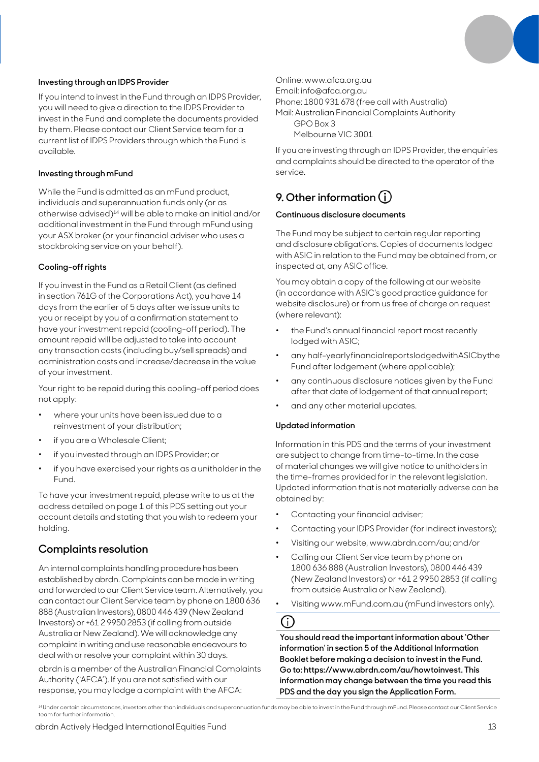

### **Investing through an IDPS Provider**

If you intend to invest in the Fund through an IDPS Provider, you will need to give a direction to the IDPS Provider to invest in the Fund and complete the documents provided by them. Please contact our Client Service team for a current list of IDPS Providers through which the Fund is available.

### **Investing through mFund**

While the Fund is admitted as an mFund product, individuals and superannuation funds only (or as otherwise advised)14 will be able to make an initial and/or additional investment in the Fund through mFund using your ASX broker (or your financial adviser who uses a stockbroking service on your behalf).

### **Cooling-off rights**

If you invest in the Fund as a Retail Client (as defined in section 761G of the Corporations Act), you have 14 days from the earlier of 5 days after we issue units to you or receipt by you of a confirmation statement to have your investment repaid (cooling-off period). The amount repaid will be adjusted to take into account any transaction costs (including buy/sell spreads) and administration costs and increase/decrease in the value of your investment.

Your right to be repaid during this cooling-off period does not apply:

- where your units have been issued due to a reinvestment of your distribution;
- if you are a Wholesale Client;
- if you invested through an IDPS Provider; or
- if you have exercised your rights as a unitholder in the Fund.

To have your investment repaid, please write to us at the address detailed on page 1 of this PDS setting out your account details and stating that you wish to redeem your holding.

### **Complaints resolution**

An internal complaints handling procedure has been established by abrdn. Complaints can be made in writing and forwarded to our Client Service team. Alternatively, you can contact our Client Service team by phone on 1800 636 888 (Australian Investors), 0800 446 439 (New Zealand Investors) or +61 2 9950 2853 (if calling from outside Australia or New Zealand). We will acknowledge any complaint in writing and use reasonable endeavours to deal with or resolve your complaint within 30 days.

abrdn is a member of the Australian Financial Complaints Authority ('AFCA'). If you are not satisfied with our response, you may lodge a complaint with the AFCA:

Online: www.afca.org.au

Email: info@afca.org.au

Phone: 1800 931 678 (free call with Australia)

Mail: Australian Financial Complaints Authority GPO Box 3

Melbourne VIC 3001

If you are investing through an IDPS Provider, the enquiries and complaints should be directed to the operator of the service.

# **9. Other information**

### **Continuous disclosure documents**

The Fund may be subject to certain regular reporting and disclosure obligations. Copies of documents lodged with ASIC in relation to the Fund may be obtained from, or inspected at, any ASIC office.

You may obtain a copy of the following at our website (in accordance with ASIC's good practice guidance for website disclosure) or from us free of charge on request (where relevant):

- the Fund's annual financial report most recently lodged with ASIC;
- any half-yearlyfinancialreportslodgedwithASICbythe Fund after lodgement (where applicable);
- any continuous disclosure notices given by the Fund after that date of lodgement of that annual report;
- and any other material updates.

### **Updated information**

Information in this PDS and the terms of your investment are subject to change from time-to-time. In the case of material changes we will give notice to unitholders in the time-frames provided for in the relevant legislation. Updated information that is not materially adverse can be obtained by:

- Contacting your financial adviser;
- Contacting your IDPS Provider (for indirect investors);
- Visiting our website, www.abrdn.com/au; and/or
- Calling our Client Service team by phone on 1800 636 888 (Australian Investors), 0800 446 439 (New Zealand Investors) or +61 2 9950 2853 (if calling from outside Australia or New Zealand).
- Visiting www.mFund.com.au (mFund investors only).

# G)

**You should read the important information about 'Other information' in section 5 of the Additional Information Booklet before making a decision to invest in the Fund. Go to: https://www.abrdn.com/au/howtoinvest. This information may change between the time you read this PDS and the day you sign the Application Form.**

<sup>14</sup> Under certain circumstances, investors other than individuals and superannuation funds may be able to invest in the Fund through mFund. Please contact our Client Service team for further information.